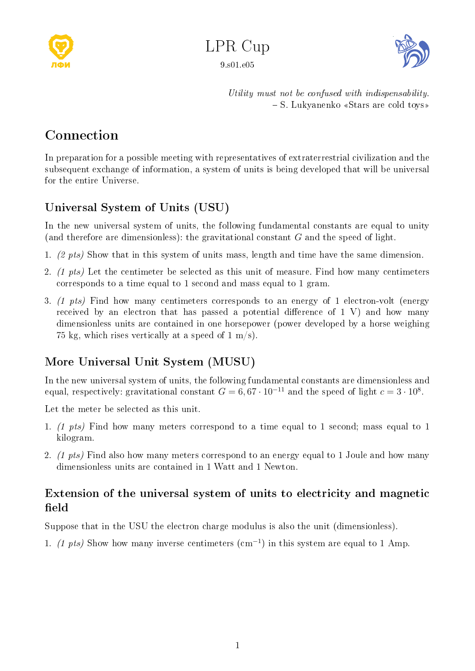



Utility must not be confused with indispensability. S. Lukyanenko ¾Stars are cold toys¿

## Connection

In preparation for a possible meeting with representatives of extraterrestrial civilization and the subsequent exchange of information, a system of units is being developed that will be universal for the entire Universe.

## Universal System of Units (USU)

In the new universal system of units, the following fundamental constants are equal to unity (and therefore are dimensionless): the gravitational constant  $G$  and the speed of light.

- 1. (2 pts) Show that in this system of units mass, length and time have the same dimension.
- 2. (1 pts) Let the centimeter be selected as this unit of measure. Find how many centimeters corresponds to a time equal to 1 second and mass equal to 1 gram.
- 3. (1 pts) Find how many centimeters corresponds to an energy of 1 electron-volt (energy received by an electron that has passed a potential difference of  $1 \, V$ ) and how many dimensionless units are contained in one horsepower (power developed by a horse weighing 75 kg, which rises vertically at a speed of  $1 \text{ m/s}$ .

## More Universal Unit System (MUSU)

In the new universal system of units, the following fundamental constants are dimensionless and equal, respectively: gravitational constant  $G=6,67\cdot 10^{-11}$  and the speed of light  $c=3\cdot 10^8.$ 

Let the meter be selected as this unit.

- 1. (1 pts) Find how many meters correspond to a time equal to 1 second; mass equal to 1 kilogram.
- 2. (1 pts) Find also how many meters correspond to an energy equal to 1 Joule and how many dimensionless units are contained in 1 Watt and 1 Newton.

## Extension of the universal system of units to electricity and magnetic field

Suppose that in the USU the electron charge modulus is also the unit (dimensionless).

1. (1 pts) Show how many inverse centimeters  $\text{ (cm}^{-1} \text{)}$  in this system are equal to 1 Amp.